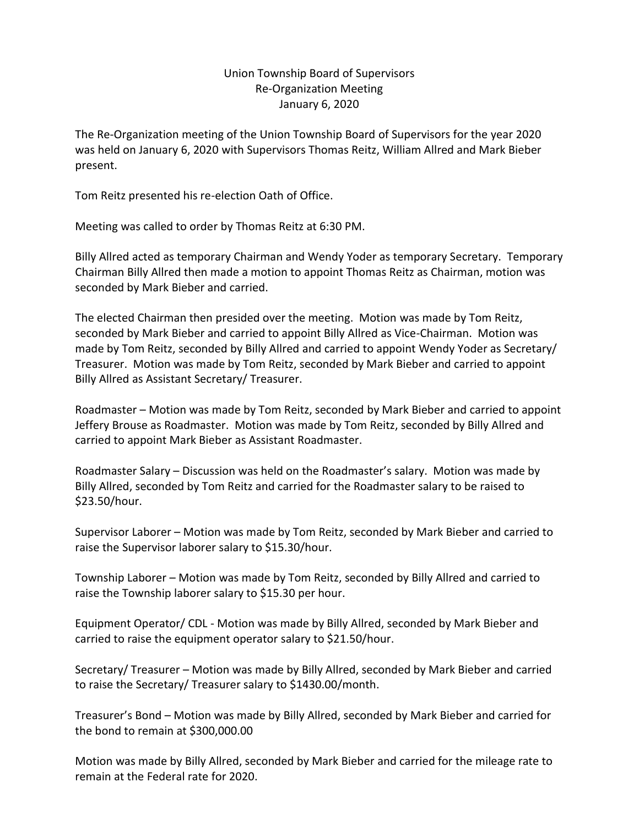## Union Township Board of Supervisors Re-Organization Meeting January 6, 2020

The Re-Organization meeting of the Union Township Board of Supervisors for the year 2020 was held on January 6, 2020 with Supervisors Thomas Reitz, William Allred and Mark Bieber present.

Tom Reitz presented his re-election Oath of Office.

Meeting was called to order by Thomas Reitz at 6:30 PM.

Billy Allred acted as temporary Chairman and Wendy Yoder as temporary Secretary. Temporary Chairman Billy Allred then made a motion to appoint Thomas Reitz as Chairman, motion was seconded by Mark Bieber and carried.

The elected Chairman then presided over the meeting. Motion was made by Tom Reitz, seconded by Mark Bieber and carried to appoint Billy Allred as Vice-Chairman. Motion was made by Tom Reitz, seconded by Billy Allred and carried to appoint Wendy Yoder as Secretary/ Treasurer. Motion was made by Tom Reitz, seconded by Mark Bieber and carried to appoint Billy Allred as Assistant Secretary/ Treasurer.

Roadmaster – Motion was made by Tom Reitz, seconded by Mark Bieber and carried to appoint Jeffery Brouse as Roadmaster. Motion was made by Tom Reitz, seconded by Billy Allred and carried to appoint Mark Bieber as Assistant Roadmaster.

Roadmaster Salary – Discussion was held on the Roadmaster's salary. Motion was made by Billy Allred, seconded by Tom Reitz and carried for the Roadmaster salary to be raised to \$23.50/hour.

Supervisor Laborer – Motion was made by Tom Reitz, seconded by Mark Bieber and carried to raise the Supervisor laborer salary to \$15.30/hour.

Township Laborer – Motion was made by Tom Reitz, seconded by Billy Allred and carried to raise the Township laborer salary to \$15.30 per hour.

Equipment Operator/ CDL - Motion was made by Billy Allred, seconded by Mark Bieber and carried to raise the equipment operator salary to \$21.50/hour.

Secretary/ Treasurer – Motion was made by Billy Allred, seconded by Mark Bieber and carried to raise the Secretary/ Treasurer salary to \$1430.00/month.

Treasurer's Bond – Motion was made by Billy Allred, seconded by Mark Bieber and carried for the bond to remain at \$300,000.00

Motion was made by Billy Allred, seconded by Mark Bieber and carried for the mileage rate to remain at the Federal rate for 2020.